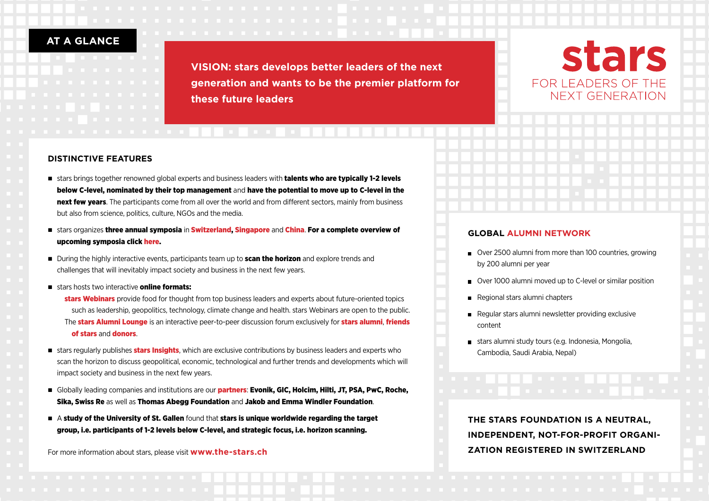## **AT A GLANCE**

**VISION: stars develops better leaders of the next generation and wants to be the premier platform for these future leaders**

# stars FOR LEADERS OF THE NEXT GENERATION

## **DISTINCTIVE FEATURES DISTINCTIVE FEATURES**

- stars brings together renowned global experts and business leaders with **talents who are typically 1-2 levels** below C-level, nominated by their top management and have the potential to move up to C-level in the next few years. The participants come from all over the world and from different sectors, mainly from business but also from science, politics, culture, NGOs and the media.
- n stars organizes three annual symposia in Switzerland, Singapore and China. For a complete overview of upcoming symposia click here.
- **n** During the highly interactive events, participants team up to **scan the horizon** and explore trends and challenges that will inevitably impact society and business in the next few years.
- stars hosts two interactive **online formats:** 
	- stars Webinars provide food for thought from top business leaders and experts about future-oriented topics such as leadership, geopolitics, technology, climate change and health. stars Webinars are open to the public. The **stars Alumni Lounge** is an interactive peer-to-peer discussion forum exclusively for **stars alumni, friends** of stars and donors.
- stars regularly publishes **stars Insights**, which are exclusive contributions by business leaders and experts who scan the horizon to discuss geopolitical, economic, technological and further trends and developments which will impact society and business in the next few years.
- **n** Globally leading companies and institutions are our **partners: Evonik, GIC, Holcim, Hilti, JT, PSA, PwC, Roche,** Sika, Swiss Re as well as Thomas Abegg Foundation and Jakob and Emma Windler Foundation.
- $\blacksquare$  A study of the University of St. Gallen found that stars is unique worldwide regarding the target group, i.e. participants of 1-2 levels below C-level, and strategic focus, i.e. horizon scanning.

For more information about stars, please visit **www.the-stars.ch**

### **GLOBAL ALUMNI NETWORK**

- Over 2500 alumni from more than 100 countries, growing by 200 alumni per year
- Over 1000 alumni moved up to C-level or similar position
- Regional stars alumni chapters
- Regular stars alumni newsletter providing exclusive content
- stars alumni study tours (e.g. Indonesia, Mongolia, Cambodia, Saudi Arabia, Nepal)

**THE STARS FOUNDATION IS A NEUTRAL, INDEPENDENT, NOT-FOR-PROFIT ORGANI-ZATION REGISTERED IN SWITZERLAND**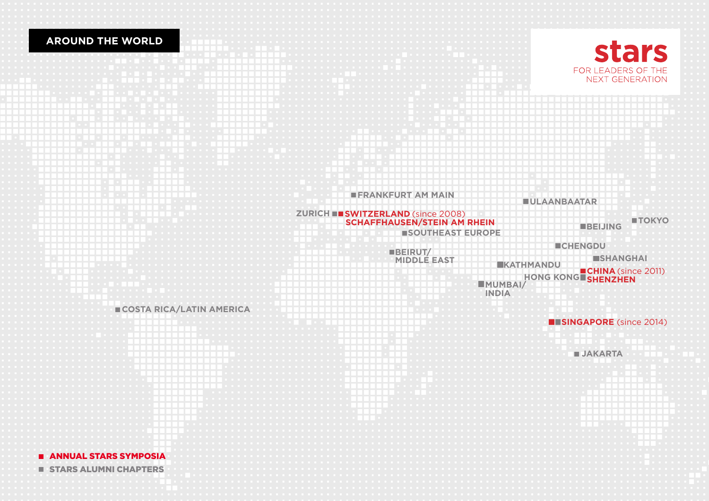## **AROUND THE WORLD**





**E** ANNUAL STARS SYMPOSIA

**E** STARS ALUMNI CHAPTERS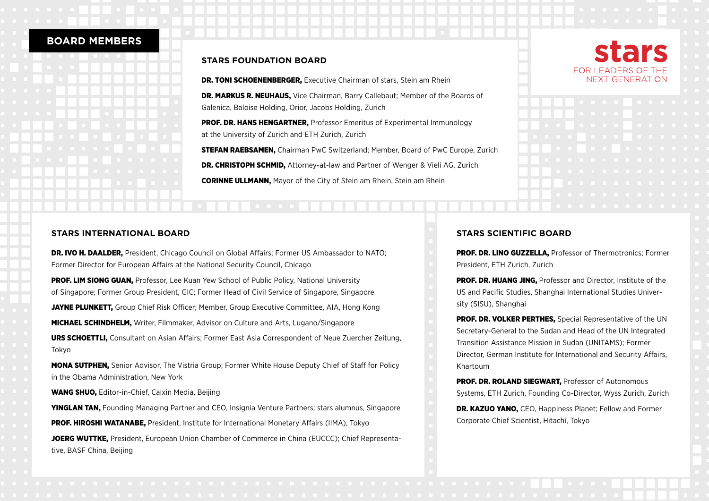## **BOARD MEMBERS**

#### **STARS FOUNDATION BOARD**

**DR. TONI SCHOENENBERGER.** Executive Chairman of stars, Stein am Rhein

DR. MARKUS R. NEUHAUS, Vice Chairman, Barry Callebaut; Member of the Boards of Galenica, Baloise Holding, Orior, Jacobs Holding, Zurich

**PROF. DR. HANS HENGARTNER.** Professor Emeritus of Experimental Immunology at the University of Zurich and ETH Zurich, Zurich

**STEFAN RAEBSAMEN.** Chairman PwC Switzerland: Member, Board of PwC Europe, Zurich DR. CHRISTOPH SCHMID, Attorney-at-law and Partner of Wenger & Vieli AG, Zurich CORINNE ULLMANN, Mayor of the City of Stein am Rhein, Stein am Rhein

### **STARS INTERNATIONAL BOARD**

**DR. IVO H. DAALDER.** President, Chicago Council on Global Affairs: Former US Ambassador to NATO: Former Director for European Affairs at the National Security Council, Chicago

**PROF. LIM SIONG GUAN.** Professor, Lee Kuan Yew School of Public Policy, National University of Singapore; Former Group President, GIC; Former Head of Civil Service of Singapore, Singapore

**JAYNE PLUNKETT,** Group Chief Risk Officer; Member, Group Executive Committee, AIA, Hong Kong

MICHAEL SCHINDHELM, Writer, Filmmaker, Advisor on Culture and Arts, Lugano/Singapore

URS SCHOETTLI, Consultant on Asian Affairs; Former East Asia Correspondent of Neue Zuercher Zeitung, Tokyo

MONA SUTPHEN, Senior Advisor, The Vistria Group; Former White House Deputy Chief of Staff for Policy in the Obama Administration, New York

WANG SHUO, Editor-in-Chief, Caixin Media, Beijing

YINGLAN TAN, Founding Managing Partner and CEO, Insignia Venture Partners; stars alumnus, Singapore PROF. HIROSHI WATANABE, President, Institute for International Monetary Affairs (IIMA), Tokyo

JOERG WUTTKE. President, European Union Chamber of Commerce in China (EUCCC); Chief Representative, BASF China, Beijing

## **STARS SCIENTIFIC BOARD**

PROF. DR. LINO GUZZELLA, Professor of Thermotronics; Former President, ETH Zurich, Zurich

**PROF. DR. HUANG JING.** Professor and Director. Institute of the US and Pacific Studies, Shanghai International Studies University (SISU), Shanghai

PROF. DR. VOLKER PERTHES. Special Representative of the UN Secretary-General to the Sudan and Head of the UN Integrated Transition Assistance Mission in Sudan (UNITAMS); Former Director, German Institute for International and Security Affairs, Khartoum

PROF. DR. ROLAND SIEGWART, Professor of Autonomous Systems, ETH Zurich, Founding Co-Director, Wyss Zurich, Zurich

DR. KAZUO YANO, CEO, Happiness Planet; Fellow and Former Corporate Chief Scientist, Hitachi, Tokyo

## tars FOR LEADERS OF THE NEXT GENERATION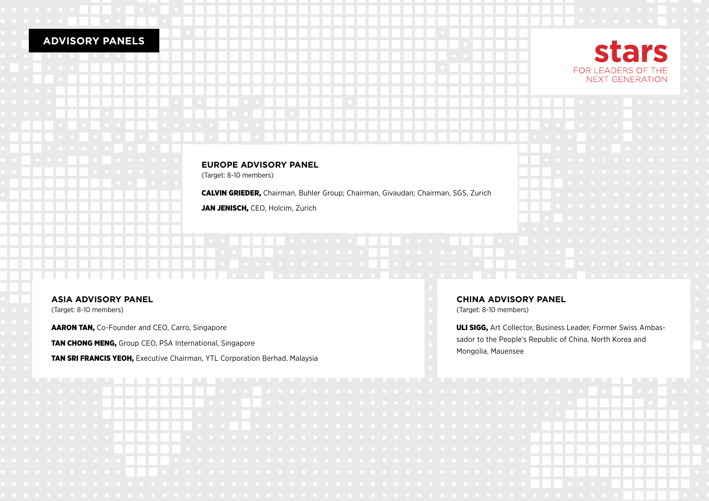## **ADVISORY PANELS**



### **EUROPE ADVISORY PANEL**

(Target: 8-10 members)

CALVIN GRIEDER, Chairman, Buhler Group; Chairman, Givaudan; Chairman, SGS, Zurich

JAN JENISCH, CEO, Holcim, Zurich

### **ASIA ADVISORY PANEL**

(Target: 8-10 members)

AARON TAN, Co-Founder and CEO, Carro, Singapore

**TAN CHONG MENG, Group CEO, PSA International, Singapore** 

TAN SRI FRANCIS YEOH, Executive Chairman, YTL Corporation Berhad, Malaysia

### **CHINA ADVISORY PANEL**

(Target: 8-10 members)

ULI SIGG, Art Collector, Business Leader, Former Swiss Ambassador to the People's Republic of China, North Korea and Mongolia, Mauensee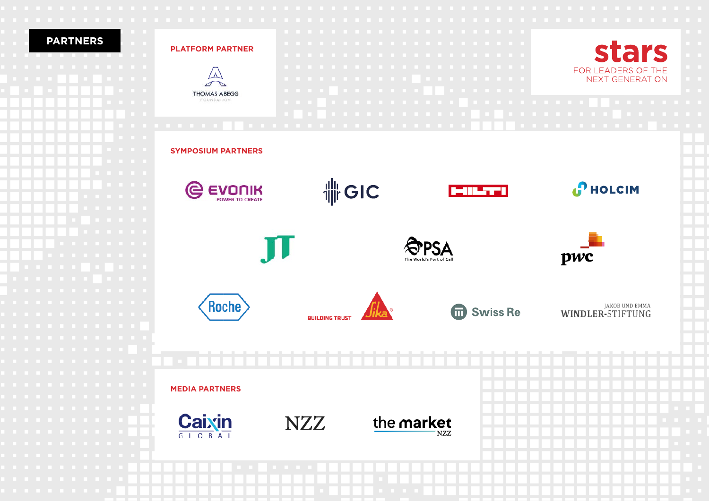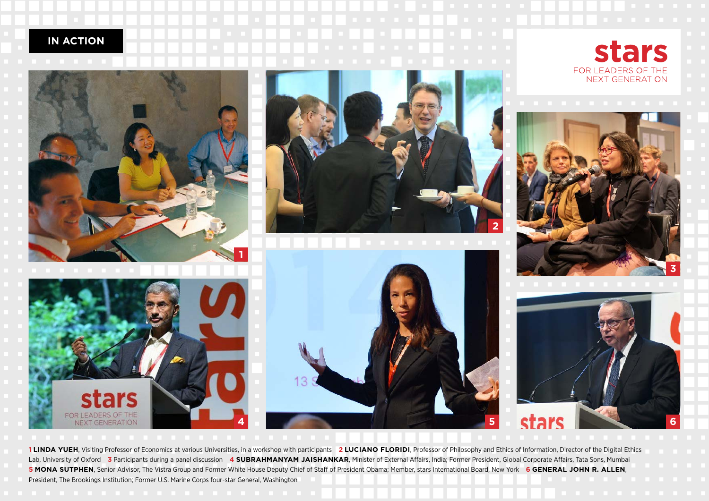## **IN ACTION**



ember Advisor, The Visua Group and Former White House Deputy Chief of Starf of President Obama, Piember, Stars International Doald, New Tork **O CERERAL SOTIN R. ALLLIN**, of Oxford Participants during a panel discussion of Economics at various Professor of Professor of Economics at various University at various Departments , Partner, Macrophores, Partner, Macrophores, Partner, Macrophores, **5 MONA SUTPHEN**, Senior Advisor, The Vistra Group and Former White House Deputy Chief of Staff of President Obama; Member, stars International Board, New York 6 GENERAL JOHN R. ALLEN, President, The Brookings Institution; Former U.S. Marine Corps four-star General, Washington Advisory, Partners LLP and Former White House Deputy Chief of Staff of President Obama; Member, stars International Board , President, The Brookings Institution; 1 LINDA YUEH, Visiting Professor of Economics at various Universities, in a workshop with participants 2 LUCIANO FLORIDI, Professor of Philosophy and Ethics of Information, Director of the Digital Ethics Lab, University of Oxford **3** Participants during a panel discussion 4 SUBRAHMANYAM JAISHANKAR, Minister of External Affairs, India; Former President, Global Corporate Affairs, Tata Sons, Mumbai